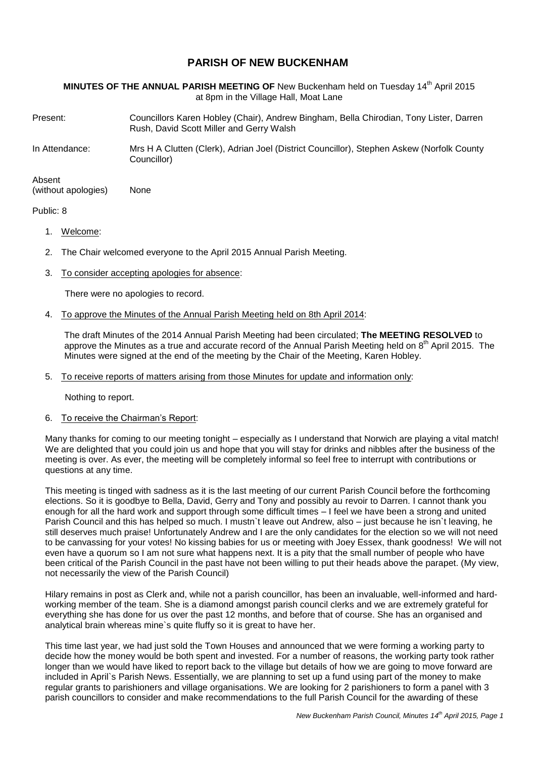# **PARISH OF NEW BUCKENHAM**

**MINUTES OF THE ANNUAL PARISH MEETING OF** New Buckenham held on Tuesday 14<sup>th</sup> April 2015 at 8pm in the Village Hall, Moat Lane

Present: Councillors Karen Hobley (Chair), Andrew Bingham, Bella Chirodian, Tony Lister, Darren Rush, David Scott Miller and Gerry Walsh

In Attendance: Mrs H A Clutten (Clerk), Adrian Joel (District Councillor), Stephen Askew (Norfolk County Councillor)

Absent (without apologies) None

#### Public: 8

- 1. Welcome:
- 2. The Chair welcomed everyone to the April 2015 Annual Parish Meeting.
- 3. To consider accepting apologies for absence:

There were no apologies to record.

4. To approve the Minutes of the Annual Parish Meeting held on 8th April 2014:

The draft Minutes of the 2014 Annual Parish Meeting had been circulated; **The MEETING RESOLVED** to approve the Minutes as a true and accurate record of the Annual Parish Meeting held on 8<sup>th</sup> April 2015. The Minutes were signed at the end of the meeting by the Chair of the Meeting, Karen Hobley.

5. To receive reports of matters arising from those Minutes for update and information only:

Nothing to report.

### 6. To receive the Chairman's Report:

Many thanks for coming to our meeting tonight – especially as I understand that Norwich are playing a vital match! We are delighted that you could join us and hope that you will stay for drinks and nibbles after the business of the meeting is over. As ever, the meeting will be completely informal so feel free to interrupt with contributions or questions at any time.

This meeting is tinged with sadness as it is the last meeting of our current Parish Council before the forthcoming elections. So it is goodbye to Bella, David, Gerry and Tony and possibly au revoir to Darren. I cannot thank you enough for all the hard work and support through some difficult times – I feel we have been a strong and united Parish Council and this has helped so much. I mustn`t leave out Andrew, also – just because he isn`t leaving, he still deserves much praise! Unfortunately Andrew and I are the only candidates for the election so we will not need to be canvassing for your votes! No kissing babies for us or meeting with Joey Essex, thank goodness! We will not even have a quorum so I am not sure what happens next. It is a pity that the small number of people who have been critical of the Parish Council in the past have not been willing to put their heads above the parapet. (My view, not necessarily the view of the Parish Council)

Hilary remains in post as Clerk and, while not a parish councillor, has been an invaluable, well-informed and hardworking member of the team. She is a diamond amongst parish council clerks and we are extremely grateful for everything she has done for us over the past 12 months, and before that of course. She has an organised and analytical brain whereas mine`s quite fluffy so it is great to have her.

This time last year, we had just sold the Town Houses and announced that we were forming a working party to decide how the money would be both spent and invested. For a number of reasons, the working party took rather longer than we would have liked to report back to the village but details of how we are going to move forward are included in April`s Parish News. Essentially, we are planning to set up a fund using part of the money to make regular grants to parishioners and village organisations. We are looking for 2 parishioners to form a panel with 3 parish councillors to consider and make recommendations to the full Parish Council for the awarding of these